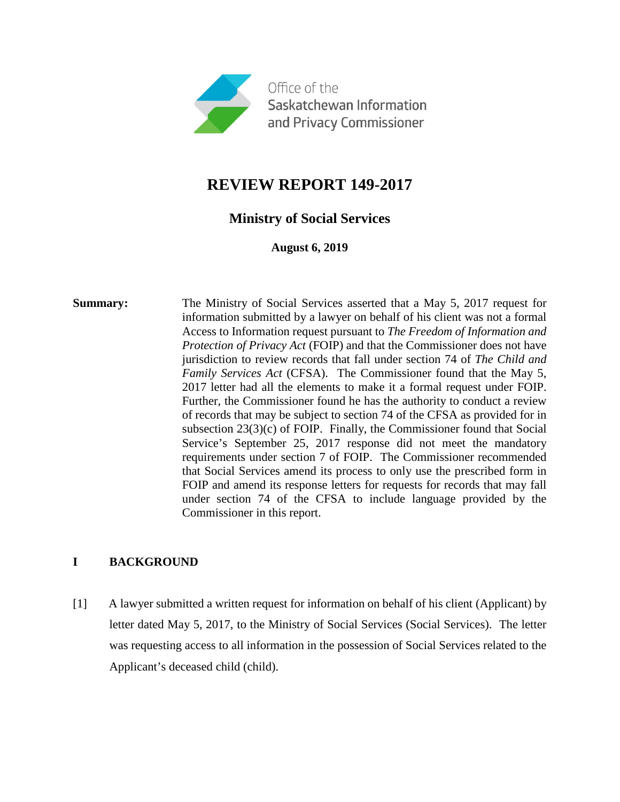

# **REVIEW REPORT 149-2017**

## **Ministry of Social Services**

**August 6, 2019**

**Summary:** The Ministry of Social Services asserted that a May 5, 2017 request for information submitted by a lawyer on behalf of his client was not a formal Access to Information request pursuant to *The Freedom of Information and Protection of Privacy Act* (FOIP) and that the Commissioner does not have jurisdiction to review records that fall under section 74 of *The Child and Family Services Act* (CFSA). The Commissioner found that the May 5, 2017 letter had all the elements to make it a formal request under FOIP. Further, the Commissioner found he has the authority to conduct a review of records that may be subject to section 74 of the CFSA as provided for in subsection 23(3)(c) of FOIP. Finally, the Commissioner found that Social Service's September 25, 2017 response did not meet the mandatory requirements under section 7 of FOIP. The Commissioner recommended that Social Services amend its process to only use the prescribed form in FOIP and amend its response letters for requests for records that may fall under section 74 of the CFSA to include language provided by the Commissioner in this report.

## **I BACKGROUND**

[1] A lawyer submitted a written request for information on behalf of his client (Applicant) by letter dated May 5, 2017, to the Ministry of Social Services (Social Services). The letter was requesting access to all information in the possession of Social Services related to the Applicant's deceased child (child).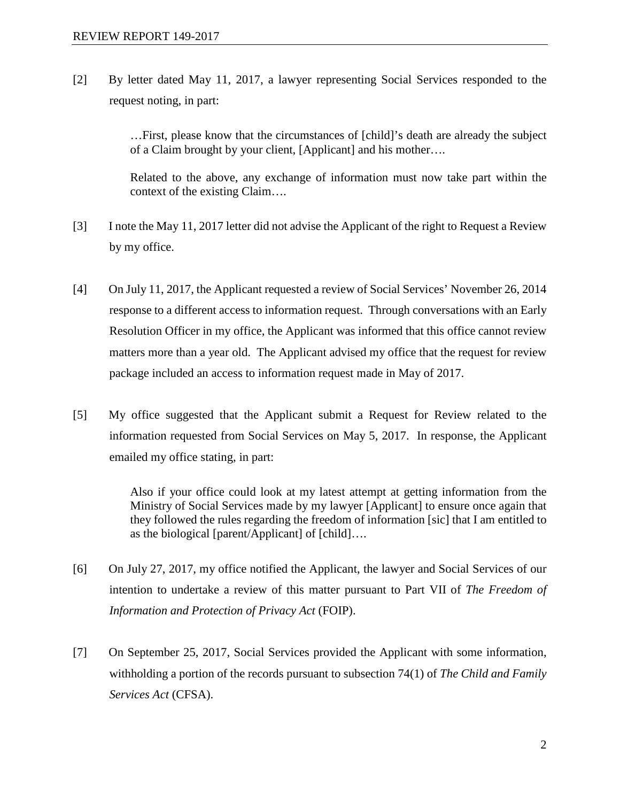[2] By letter dated May 11, 2017, a lawyer representing Social Services responded to the request noting, in part:

> …First, please know that the circumstances of [child]'s death are already the subject of a Claim brought by your client, [Applicant] and his mother….

> Related to the above, any exchange of information must now take part within the context of the existing Claim….

- [3] I note the May 11, 2017 letter did not advise the Applicant of the right to Request a Review by my office.
- [4] On July 11, 2017, the Applicant requested a review of Social Services' November 26, 2014 response to a different access to information request. Through conversations with an Early Resolution Officer in my office, the Applicant was informed that this office cannot review matters more than a year old. The Applicant advised my office that the request for review package included an access to information request made in May of 2017.
- [5] My office suggested that the Applicant submit a Request for Review related to the information requested from Social Services on May 5, 2017. In response, the Applicant emailed my office stating, in part:

Also if your office could look at my latest attempt at getting information from the Ministry of Social Services made by my lawyer [Applicant] to ensure once again that they followed the rules regarding the freedom of information [sic] that I am entitled to as the biological [parent/Applicant] of [child]….

- [6] On July 27, 2017, my office notified the Applicant, the lawyer and Social Services of our intention to undertake a review of this matter pursuant to Part VII of *The Freedom of Information and Protection of Privacy Act* (FOIP).
- [7] On September 25, 2017, Social Services provided the Applicant with some information, withholding a portion of the records pursuant to subsection 74(1) of *The Child and Family Services Act* (CFSA).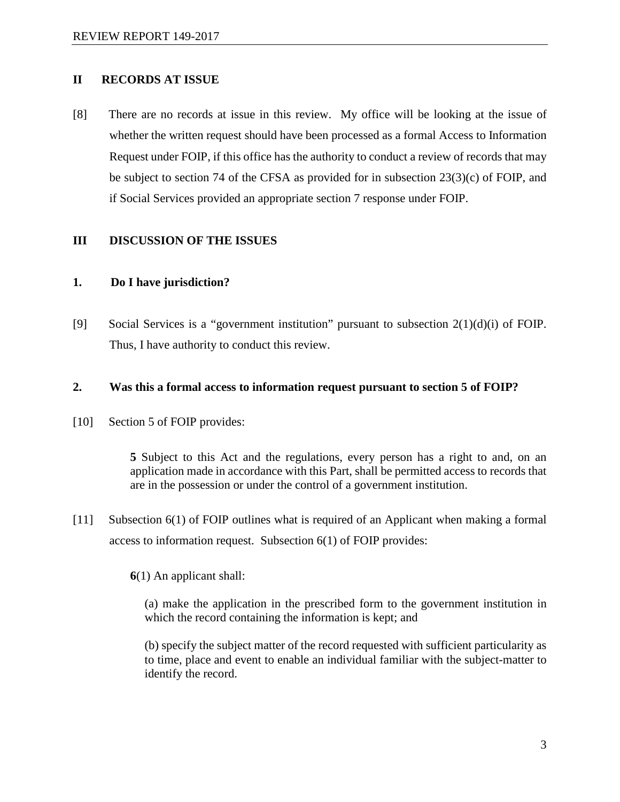#### **II RECORDS AT ISSUE**

[8] There are no records at issue in this review. My office will be looking at the issue of whether the written request should have been processed as a formal Access to Information Request under FOIP, if this office has the authority to conduct a review of records that may be subject to section 74 of the CFSA as provided for in subsection 23(3)(c) of FOIP, and if Social Services provided an appropriate section 7 response under FOIP.

#### **III DISCUSSION OF THE ISSUES**

#### **1. Do I have jurisdiction?**

[9] Social Services is a "government institution" pursuant to subsection 2(1)(d)(i) of FOIP. Thus, I have authority to conduct this review.

#### **2. Was this a formal access to information request pursuant to section 5 of FOIP?**

[10] Section 5 of FOIP provides:

**5** Subject to this Act and the regulations, every person has a right to and, on an application made in accordance with this Part, shall be permitted access to records that are in the possession or under the control of a government institution.

[11] Subsection 6(1) of FOIP outlines what is required of an Applicant when making a formal access to information request. Subsection 6(1) of FOIP provides:

**6**(1) An applicant shall:

(a) make the application in the prescribed form to the government institution in which the record containing the information is kept; and

(b) specify the subject matter of the record requested with sufficient particularity as to time, place and event to enable an individual familiar with the subject-matter to identify the record.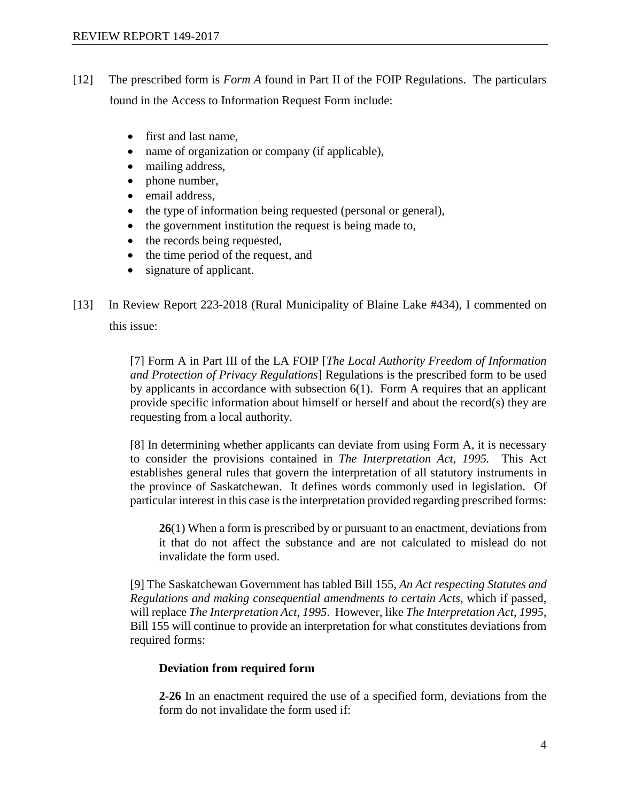- [12] The prescribed form is *Form A* found in Part II of the FOIP Regulations. The particulars found in the Access to Information Request Form include:
	- first and last name.
	- name of organization or company (if applicable),
	- mailing address,
	- phone number,
	- email address,
	- the type of information being requested (personal or general),
	- the government institution the request is being made to,
	- the records being requested,
	- the time period of the request, and
	- signature of applicant.

[13] In Review Report 223-2018 (Rural Municipality of Blaine Lake #434), I commented on this issue:

> [7] Form A in Part III of the LA FOIP [*The Local Authority Freedom of Information and Protection of Privacy Regulations*] Regulations is the prescribed form to be used by applicants in accordance with subsection 6(1). Form A requires that an applicant provide specific information about himself or herself and about the record(s) they are requesting from a local authority.

> [8] In determining whether applicants can deviate from using Form A, it is necessary to consider the provisions contained in *The Interpretation Act, 1995.* This Act establishes general rules that govern the interpretation of all statutory instruments in the province of Saskatchewan. It defines words commonly used in legislation. Of particular interest in this case is the interpretation provided regarding prescribed forms:

**26**(1) When a form is prescribed by or pursuant to an enactment, deviations from it that do not affect the substance and are not calculated to mislead do not invalidate the form used.

[9] The Saskatchewan Government has tabled Bill 155, *An Act respecting Statutes and Regulations and making consequential amendments to certain Acts*, which if passed, will replace *The Interpretation Act, 1995*. However, like *The Interpretation Act, 1995*, Bill 155 will continue to provide an interpretation for what constitutes deviations from required forms:

#### **Deviation from required form**

**2-26** In an enactment required the use of a specified form, deviations from the form do not invalidate the form used if: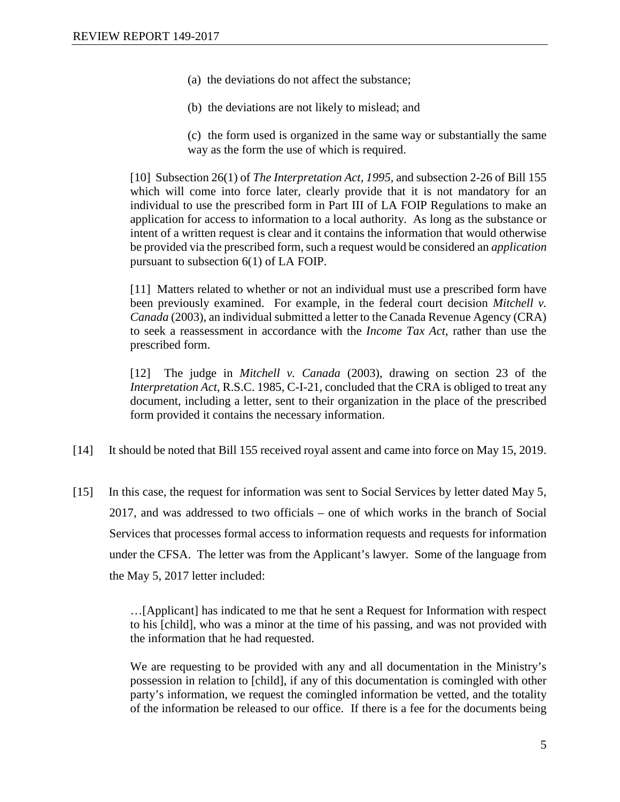- (a) the deviations do not affect the substance;
- (b) the deviations are not likely to mislead; and
- (c) the form used is organized in the same way or substantially the same way as the form the use of which is required.

[10] Subsection 26(1) of *The Interpretation Act, 1995,* and subsection 2-26 of Bill 155 which will come into force later, clearly provide that it is not mandatory for an individual to use the prescribed form in Part III of LA FOIP Regulations to make an application for access to information to a local authority. As long as the substance or intent of a written request is clear and it contains the information that would otherwise be provided via the prescribed form, such a request would be considered an *application* pursuant to subsection 6(1) of LA FOIP.

[11] Matters related to whether or not an individual must use a prescribed form have been previously examined. For example, in the federal court decision *Mitchell v. Canada* (2003), an individual submitted a letter to the Canada Revenue Agency (CRA) to seek a reassessment in accordance with the *Income Tax Act*, rather than use the prescribed form.

[12] The judge in *Mitchell v. Canada* (2003), drawing on section 23 of the *Interpretation Act*, R.S.C. 1985, C-I-21, concluded that the CRA is obliged to treat any document, including a letter, sent to their organization in the place of the prescribed form provided it contains the necessary information.

- [14] It should be noted that Bill 155 received royal assent and came into force on May 15, 2019.
- [15] In this case, the request for information was sent to Social Services by letter dated May 5, 2017, and was addressed to two officials – one of which works in the branch of Social Services that processes formal access to information requests and requests for information under the CFSA. The letter was from the Applicant's lawyer. Some of the language from the May 5, 2017 letter included:

…[Applicant] has indicated to me that he sent a Request for Information with respect to his [child], who was a minor at the time of his passing, and was not provided with the information that he had requested.

We are requesting to be provided with any and all documentation in the Ministry's possession in relation to [child], if any of this documentation is comingled with other party's information, we request the comingled information be vetted, and the totality of the information be released to our office. If there is a fee for the documents being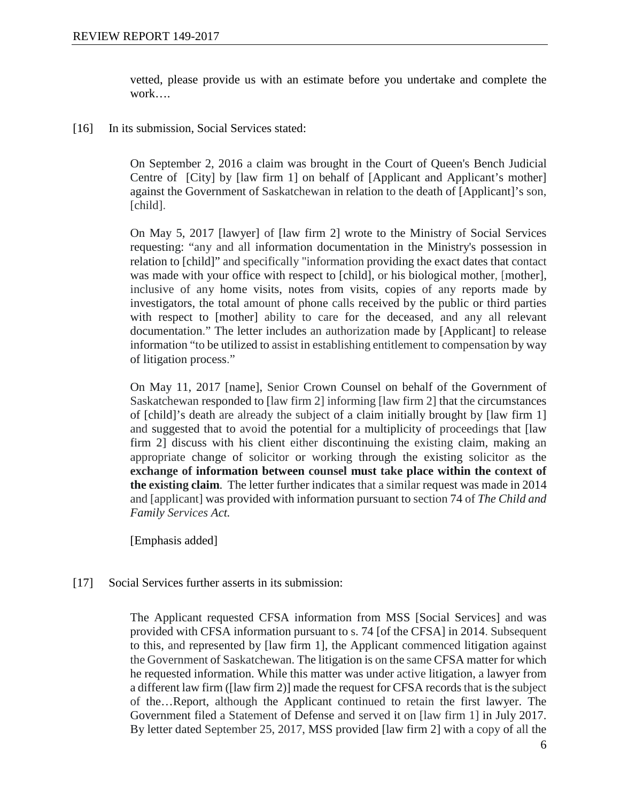vetted, please provide us with an estimate before you undertake and complete the work….

[16] In its submission, Social Services stated:

On September 2, 2016 a claim was brought in the Court of Queen's Bench Judicial Centre of [City] by [law firm 1] on behalf of [Applicant and Applicant's mother] against the Government of Saskatchewan in relation to the death of [Applicant]'s son, [child].

On May 5, 2017 [lawyer] of [law firm 2] wrote to the Ministry of Social Services requesting: "any and all information documentation in the Ministry's possession in relation to [child]" and specifically "information providing the exact dates that contact was made with your office with respect to [child], or his biological mother, [mother], inclusive of any home visits, notes from visits, copies of any reports made by investigators, the total amount of phone calls received by the public or third parties with respect to [mother] ability to care for the deceased, and any all relevant documentation." The letter includes an authorization made by [Applicant] to release information "to be utilized to assist in establishing entitlement to compensation by way of litigation process."

On May 11, 2017 [name], Senior Crown Counsel on behalf of the Government of Saskatchewan responded to [law firm 2] informing [law firm 2] that the circumstances of [child]'s death are already the subject of a claim initially brought by [law firm 1] and suggested that to avoid the potential for a multiplicity of proceedings that [law firm 2] discuss with his client either discontinuing the existing claim, making an appropriate change of solicitor or working through the existing solicitor as the **exchange of information between counsel must take place within the context of the existing claim**. The letter further indicates that a similar request was made in 2014 and [applicant] was provided with information pursuant to section 74 of *The Child and Family Services Act.*

[Emphasis added]

[17] Social Services further asserts in its submission:

The Applicant requested CFSA information from MSS [Social Services] and was provided with CFSA information pursuant to s. 74 [of the CFSA] in 2014. Subsequent to this, and represented by [law firm 1], the Applicant commenced litigation against the Government of Saskatchewan. The litigation is on the same CFSA matter for which he requested information. While this matter was under active litigation, a lawyer from a different law firm ([law firm 2)] made the request for CFSA records that is the subject of the…Report, although the Applicant continued to retain the first lawyer. The Government filed a Statement of Defense and served it on [law firm 1] in July 2017. By letter dated September 25, 2017, MSS provided [law firm 2] with a copy of all the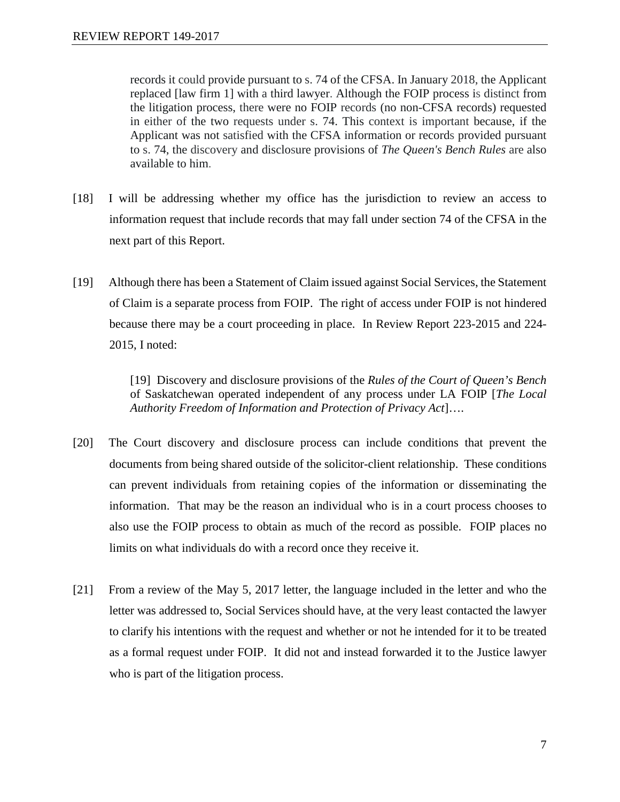records it could provide pursuant to s. 74 of the CFSA. In January 2018, the Applicant replaced [law firm 1] with a third lawyer. Although the FOIP process is distinct from the litigation process, there were no FOIP records (no non-CFSA records) requested in either of the two requests under s. 74. This context is important because, if the Applicant was not satisfied with the CFSA information or records provided pursuant to s. 74, the discovery and disclosure provisions of *The Queen's Bench Rules* are also available to him.

- [18] I will be addressing whether my office has the jurisdiction to review an access to information request that include records that may fall under section 74 of the CFSA in the next part of this Report.
- [19] Although there has been a Statement of Claim issued against Social Services, the Statement of Claim is a separate process from FOIP. The right of access under FOIP is not hindered because there may be a court proceeding in place. In Review Report 223-2015 and 224- 2015, I noted:

[19] Discovery and disclosure provisions of the *Rules of the Court of Queen's Bench*  of Saskatchewan operated independent of any process under LA FOIP [*The Local Authority Freedom of Information and Protection of Privacy Act*]….

- [20] The Court discovery and disclosure process can include conditions that prevent the documents from being shared outside of the solicitor-client relationship. These conditions can prevent individuals from retaining copies of the information or disseminating the information. That may be the reason an individual who is in a court process chooses to also use the FOIP process to obtain as much of the record as possible. FOIP places no limits on what individuals do with a record once they receive it.
- [21] From a review of the May 5, 2017 letter, the language included in the letter and who the letter was addressed to, Social Services should have, at the very least contacted the lawyer to clarify his intentions with the request and whether or not he intended for it to be treated as a formal request under FOIP. It did not and instead forwarded it to the Justice lawyer who is part of the litigation process.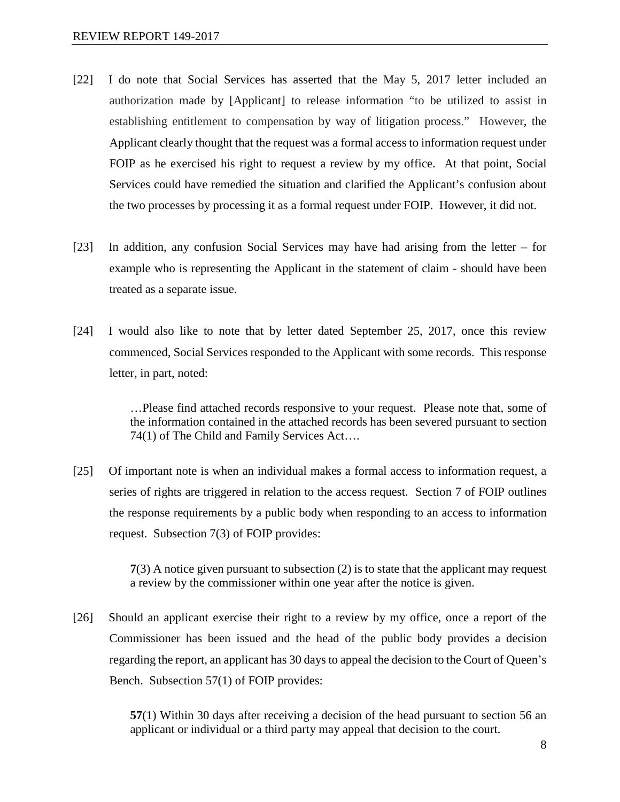- [22] I do note that Social Services has asserted that the May 5, 2017 letter included an authorization made by [Applicant] to release information "to be utilized to assist in establishing entitlement to compensation by way of litigation process." However, the Applicant clearly thought that the request was a formal access to information request under FOIP as he exercised his right to request a review by my office. At that point, Social Services could have remedied the situation and clarified the Applicant's confusion about the two processes by processing it as a formal request under FOIP. However, it did not.
- [23] In addition, any confusion Social Services may have had arising from the letter for example who is representing the Applicant in the statement of claim - should have been treated as a separate issue.
- [24] I would also like to note that by letter dated September 25, 2017, once this review commenced, Social Services responded to the Applicant with some records. This response letter, in part, noted:

…Please find attached records responsive to your request. Please note that, some of the information contained in the attached records has been severed pursuant to section 74(1) of The Child and Family Services Act….

[25] Of important note is when an individual makes a formal access to information request, a series of rights are triggered in relation to the access request. Section 7 of FOIP outlines the response requirements by a public body when responding to an access to information request. Subsection 7(3) of FOIP provides:

> **7**(3) A notice given pursuant to subsection (2) is to state that the applicant may request a review by the commissioner within one year after the notice is given.

[26] Should an applicant exercise their right to a review by my office, once a report of the Commissioner has been issued and the head of the public body provides a decision regarding the report, an applicant has 30 days to appeal the decision to the Court of Queen's Bench. Subsection 57(1) of FOIP provides:

> **57**(1) Within 30 days after receiving a decision of the head pursuant to section 56 an applicant or individual or a third party may appeal that decision to the court.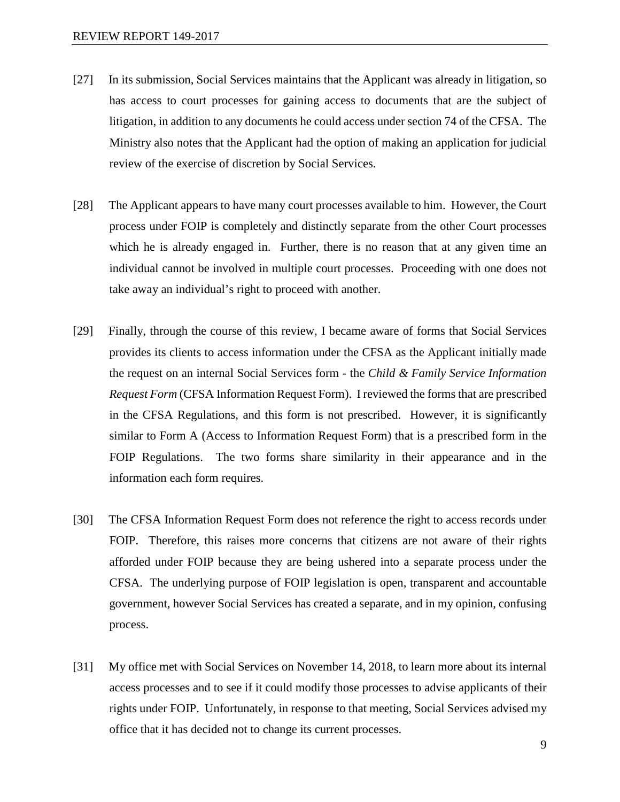- [27] In its submission, Social Services maintains that the Applicant was already in litigation, so has access to court processes for gaining access to documents that are the subject of litigation, in addition to any documents he could access under section 74 of the CFSA. The Ministry also notes that the Applicant had the option of making an application for judicial review of the exercise of discretion by Social Services.
- [28] The Applicant appears to have many court processes available to him. However, the Court process under FOIP is completely and distinctly separate from the other Court processes which he is already engaged in. Further, there is no reason that at any given time an individual cannot be involved in multiple court processes. Proceeding with one does not take away an individual's right to proceed with another.
- [29] Finally, through the course of this review, I became aware of forms that Social Services provides its clients to access information under the CFSA as the Applicant initially made the request on an internal Social Services form - the *Child & Family Service Information Request Form* (CFSA Information Request Form). I reviewed the forms that are prescribed in the CFSA Regulations, and this form is not prescribed. However, it is significantly similar to Form A (Access to Information Request Form) that is a prescribed form in the FOIP Regulations. The two forms share similarity in their appearance and in the information each form requires.
- [30] The CFSA Information Request Form does not reference the right to access records under FOIP. Therefore, this raises more concerns that citizens are not aware of their rights afforded under FOIP because they are being ushered into a separate process under the CFSA. The underlying purpose of FOIP legislation is open, transparent and accountable government, however Social Services has created a separate, and in my opinion, confusing process.
- [31] My office met with Social Services on November 14, 2018, to learn more about its internal access processes and to see if it could modify those processes to advise applicants of their rights under FOIP. Unfortunately, in response to that meeting, Social Services advised my office that it has decided not to change its current processes.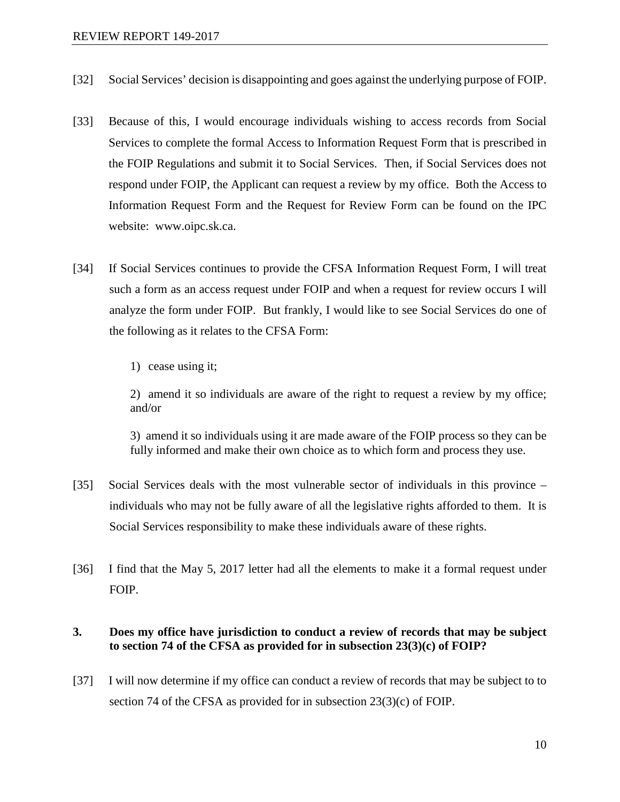- [32] Social Services' decision is disappointing and goes against the underlying purpose of FOIP.
- [33] Because of this, I would encourage individuals wishing to access records from Social Services to complete the formal Access to Information Request Form that is prescribed in the FOIP Regulations and submit it to Social Services. Then, if Social Services does not respond under FOIP, the Applicant can request a review by my office. Both the Access to Information Request Form and the Request for Review Form can be found on the IPC website: www.oipc.sk.ca.
- [34] If Social Services continues to provide the CFSA Information Request Form, I will treat such a form as an access request under FOIP and when a request for review occurs I will analyze the form under FOIP. But frankly, I would like to see Social Services do one of the following as it relates to the CFSA Form:
	- 1) cease using it;

2) amend it so individuals are aware of the right to request a review by my office; and/or

3) amend it so individuals using it are made aware of the FOIP process so they can be fully informed and make their own choice as to which form and process they use.

- [35] Social Services deals with the most vulnerable sector of individuals in this province individuals who may not be fully aware of all the legislative rights afforded to them. It is Social Services responsibility to make these individuals aware of these rights.
- [36] I find that the May 5, 2017 letter had all the elements to make it a formal request under FOIP.

## **3. Does my office have jurisdiction to conduct a review of records that may be subject to section 74 of the CFSA as provided for in subsection 23(3)(c) of FOIP?**

[37] I will now determine if my office can conduct a review of records that may be subject to to section 74 of the CFSA as provided for in subsection 23(3)(c) of FOIP.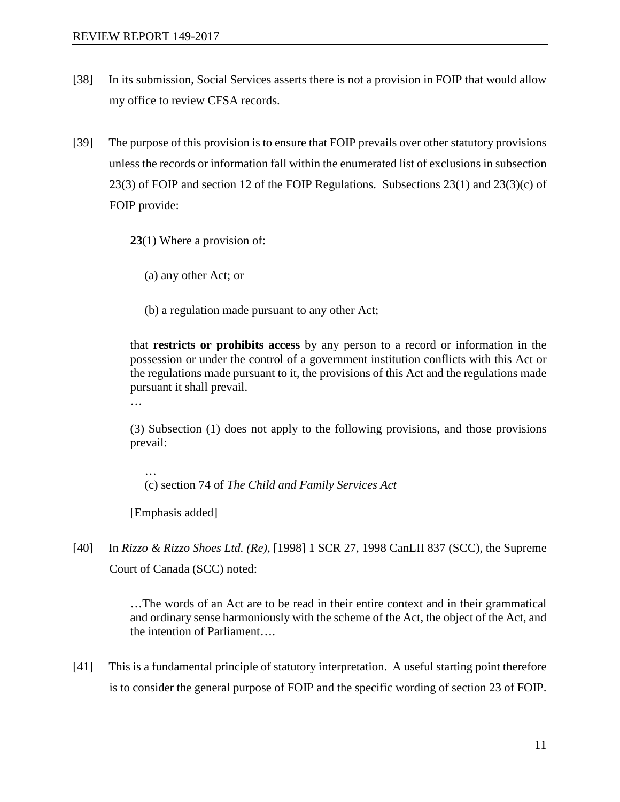- [38] In its submission, Social Services asserts there is not a provision in FOIP that would allow my office to review CFSA records.
- [39] The purpose of this provision is to ensure that FOIP prevails over other statutory provisions unless the records or information fall within the enumerated list of exclusions in subsection  $23(3)$  of FOIP and section 12 of the FOIP Regulations. Subsections  $23(1)$  and  $23(3)(c)$  of FOIP provide:

**23**(1) Where a provision of:

(a) any other Act; or

(b) a regulation made pursuant to any other Act;

that **restricts or prohibits access** by any person to a record or information in the possession or under the control of a government institution conflicts with this Act or the regulations made pursuant to it, the provisions of this Act and the regulations made pursuant it shall prevail.

…

…

(3) Subsection (1) does not apply to the following provisions, and those provisions prevail:

(c) section 74 of *The Child and Family Services Act*

[Emphasis added]

[40] In *Rizzo & Rizzo Shoes Ltd. (Re),* [1998] 1 SCR 27, 1998 CanLII 837 (SCC), the Supreme Court of Canada (SCC) noted:

> …The words of an Act are to be read in their entire context and in their grammatical and ordinary sense harmoniously with the scheme of the Act, the object of the Act, and the intention of Parliament….

[41] This is a fundamental principle of statutory interpretation. A useful starting point therefore is to consider the general purpose of FOIP and the specific wording of section 23 of FOIP.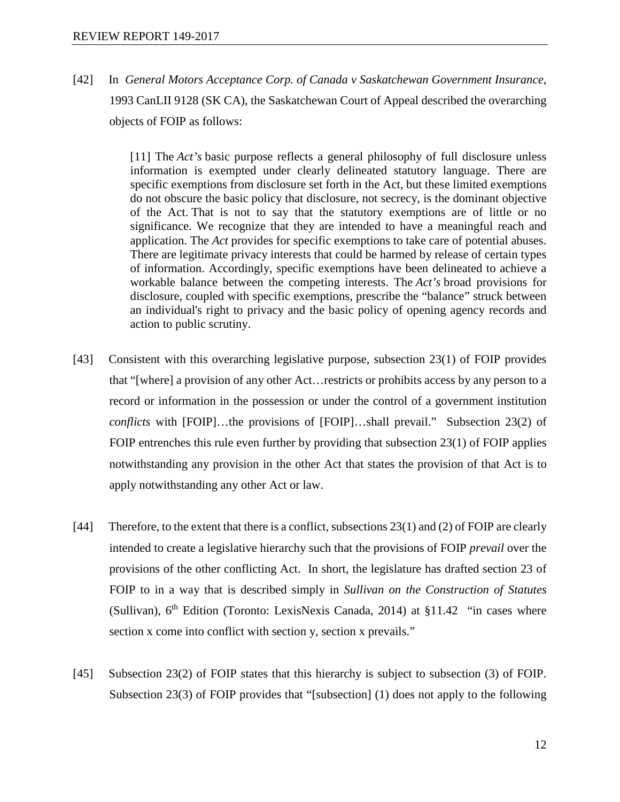[42] In *General Motors Acceptance Corp. of Canada v Saskatchewan Government Insurance*, 1993 CanLII 9128 (SK CA), the Saskatchewan Court of Appeal described the overarching objects of FOIP as follows:

> [11] The *Act's* basic purpose reflects a general philosophy of full disclosure unless information is exempted under clearly delineated statutory language. There are specific exemptions from disclosure set forth in the Act*,* but these limited exemptions do not obscure the basic policy that disclosure, not secrecy, is the dominant objective of the Act. That is not to say that the statutory exemptions are of little or no significance. We recognize that they are intended to have a meaningful reach and application. The *Act* provides for specific exemptions to take care of potential abuses. There are legitimate privacy interests that could be harmed by release of certain types of information. Accordingly, specific exemptions have been delineated to achieve a workable balance between the competing interests. The *Act's* broad provisions for disclosure, coupled with specific exemptions, prescribe the "balance" struck between an individual's right to privacy and the basic policy of opening agency records and action to public scrutiny.

- [43] Consistent with this overarching legislative purpose, subsection 23(1) of FOIP provides that "[where] a provision of any other Act…restricts or prohibits access by any person to a record or information in the possession or under the control of a government institution *conflicts* with [FOIP]…the provisions of [FOIP]…shall prevail." Subsection 23(2) of FOIP entrenches this rule even further by providing that subsection 23(1) of FOIP applies notwithstanding any provision in the other Act that states the provision of that Act is to apply notwithstanding any other Act or law.
- [44] Therefore, to the extent that there is a conflict, subsections 23(1) and (2) of FOIP are clearly intended to create a legislative hierarchy such that the provisions of FOIP *prevail* over the provisions of the other conflicting Act. In short, the legislature has drafted section 23 of FOIP to in a way that is described simply in *Sullivan on the Construction of Statutes* (Sullivan)*,* 6th Edition (Toronto: LexisNexis Canada, 2014) at §11.42 "in cases where section x come into conflict with section y, section x prevails."
- [45] Subsection 23(2) of FOIP states that this hierarchy is subject to subsection (3) of FOIP. Subsection 23(3) of FOIP provides that "[subsection] (1) does not apply to the following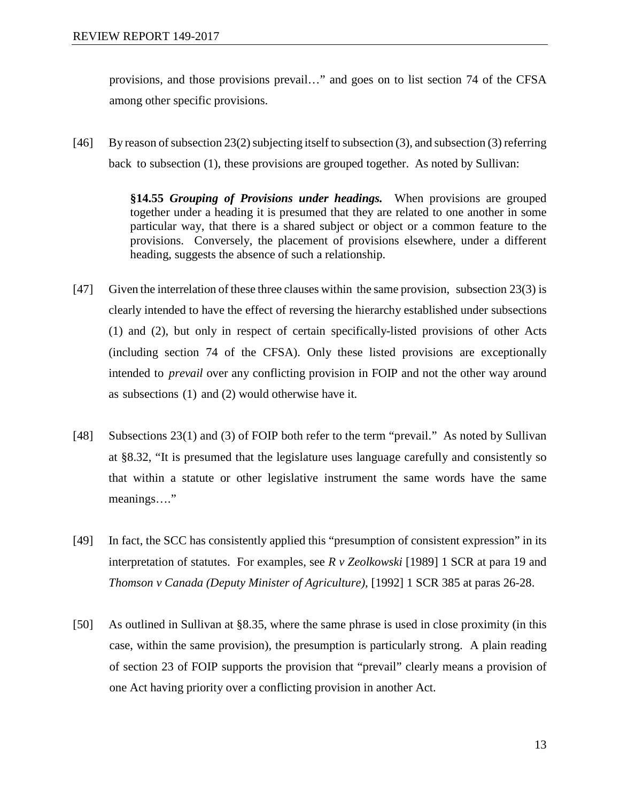provisions, and those provisions prevail…" and goes on to list section 74 of the CFSA among other specific provisions.

[46] By reason of subsection  $23(2)$  subjecting itself to subsection (3), and subsection (3) referring back to subsection (1), these provisions are grouped together. As noted by Sullivan:

> **§14.55** *Grouping of Provisions under headings.* When provisions are grouped together under a heading it is presumed that they are related to one another in some particular way, that there is a shared subject or object or a common feature to the provisions. Conversely, the placement of provisions elsewhere, under a different heading, suggests the absence of such a relationship.

- [47] Given the interrelation of these three clauses within the same provision, subsection 23(3) is clearly intended to have the effect of reversing the hierarchy established under subsections (1) and (2), but only in respect of certain specifically-listed provisions of other Acts (including section 74 of the CFSA). Only these listed provisions are exceptionally intended to *prevail* over any conflicting provision in FOIP and not the other way around as subsections (1) and (2) would otherwise have it.
- [48] Subsections 23(1) and (3) of FOIP both refer to the term "prevail." As noted by Sullivan at §8.32, "It is presumed that the legislature uses language carefully and consistently so that within a statute or other legislative instrument the same words have the same meanings…."
- [49] In fact, the SCC has consistently applied this "presumption of consistent expression" in its interpretation of statutes. For examples, see *R v Zeolkowski* [1989] 1 SCR at para 19 and *Thomson v Canada (Deputy Minister of Agriculture),* [1992] 1 SCR 385 at paras 26-28.
- [50] As outlined in Sullivan at §8.35, where the same phrase is used in close proximity (in this case, within the same provision), the presumption is particularly strong. A plain reading of section 23 of FOIP supports the provision that "prevail" clearly means a provision of one Act having priority over a conflicting provision in another Act.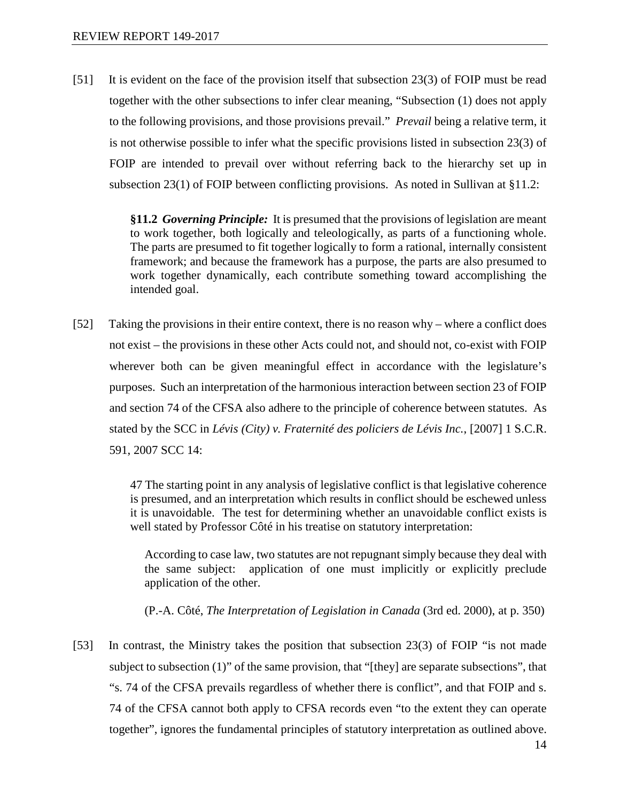[51] It is evident on the face of the provision itself that subsection 23(3) of FOIP must be read together with the other subsections to infer clear meaning, "Subsection (1) does not apply to the following provisions, and those provisions prevail." *Prevail* being a relative term, it is not otherwise possible to infer what the specific provisions listed in subsection 23(3) of FOIP are intended to prevail over without referring back to the hierarchy set up in subsection 23(1) of FOIP between conflicting provisions. As noted in Sullivan at §11.2:

> **§11.2** *Governing Principle:* It is presumed that the provisions of legislation are meant to work together, both logically and teleologically, as parts of a functioning whole. The parts are presumed to fit together logically to form a rational, internally consistent framework; and because the framework has a purpose, the parts are also presumed to work together dynamically, each contribute something toward accomplishing the intended goal.

[52] Taking the provisions in their entire context, there is no reason why – where a conflict does not exist – the provisions in these other Acts could not, and should not, co-exist with FOIP wherever both can be given meaningful effect in accordance with the legislature's purposes. Such an interpretation of the harmonious interaction between section 23 of FOIP and section 74 of the CFSA also adhere to the principle of coherence between statutes. As stated by the SCC in *Lévis (City) v. Fraternité des policiers de Lévis Inc.*, [2007] 1 S.C.R. 591, 2007 SCC 14:

> 47 The starting point in any analysis of legislative conflict is that legislative coherence is presumed, and an interpretation which results in conflict should be eschewed unless it is unavoidable. The test for determining whether an unavoidable conflict exists is well stated by Professor Côté in his treatise on statutory interpretation:

According to case law, two statutes are not repugnant simply because they deal with the same subject: application of one must implicitly or explicitly preclude application of the other.

(P.-A. Côté, *The Interpretation of Legislation in Canada* (3rd ed. 2000), at p. 350)

[53] In contrast, the Ministry takes the position that subsection 23(3) of FOIP "is not made subject to subsection (1)" of the same provision, that "[they] are separate subsections", that "s. 74 of the CFSA prevails regardless of whether there is conflict", and that FOIP and s. 74 of the CFSA cannot both apply to CFSA records even "to the extent they can operate together", ignores the fundamental principles of statutory interpretation as outlined above.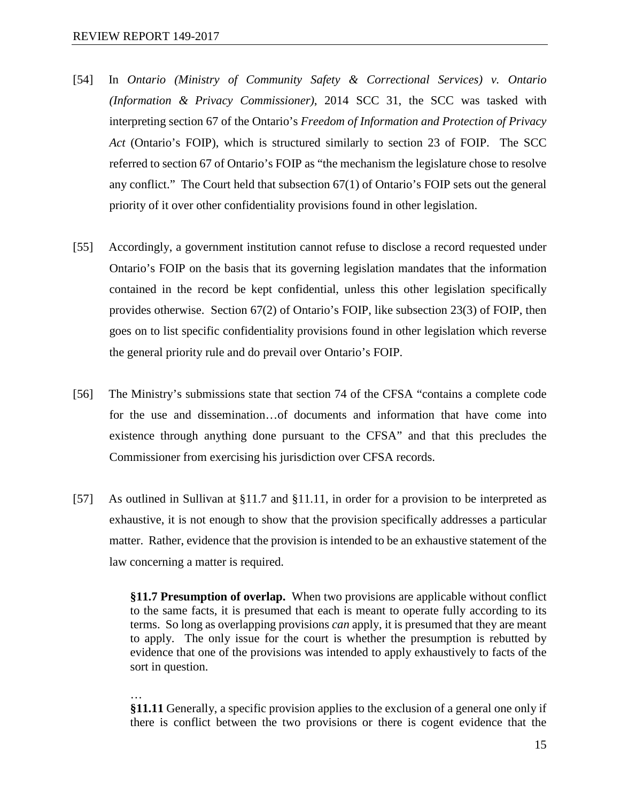- [54] In *Ontario (Ministry of Community Safety & Correctional Services) v. Ontario (Information & Privacy Commissioner)*, 2014 SCC 31, the SCC was tasked with interpreting section 67 of the Ontario's *Freedom of Information and Protection of Privacy Act* (Ontario's FOIP), which is structured similarly to section 23 of FOIP. The SCC referred to section 67 of Ontario's FOIP as "the mechanism the legislature chose to resolve any conflict." The Court held that subsection 67(1) of Ontario's FOIP sets out the general priority of it over other confidentiality provisions found in other legislation.
- [55] Accordingly, a government institution cannot refuse to disclose a record requested under Ontario's FOIP on the basis that its governing legislation mandates that the information contained in the record be kept confidential, unless this other legislation specifically provides otherwise. Section 67(2) of Ontario's FOIP, like subsection 23(3) of FOIP, then goes on to list specific confidentiality provisions found in other legislation which reverse the general priority rule and do prevail over Ontario's FOIP.
- [56] The Ministry's submissions state that section 74 of the CFSA "contains a complete code for the use and dissemination…of documents and information that have come into existence through anything done pursuant to the CFSA" and that this precludes the Commissioner from exercising his jurisdiction over CFSA records.
- [57] As outlined in Sullivan at §11.7 and §11.11, in order for a provision to be interpreted as exhaustive, it is not enough to show that the provision specifically addresses a particular matter. Rather, evidence that the provision is intended to be an exhaustive statement of the law concerning a matter is required.

**§11.7 Presumption of overlap.** When two provisions are applicable without conflict to the same facts, it is presumed that each is meant to operate fully according to its terms. So long as overlapping provisions *can* apply, it is presumed that they are meant to apply. The only issue for the court is whether the presumption is rebutted by evidence that one of the provisions was intended to apply exhaustively to facts of the sort in question.

…

**§11.11** Generally, a specific provision applies to the exclusion of a general one only if there is conflict between the two provisions or there is cogent evidence that the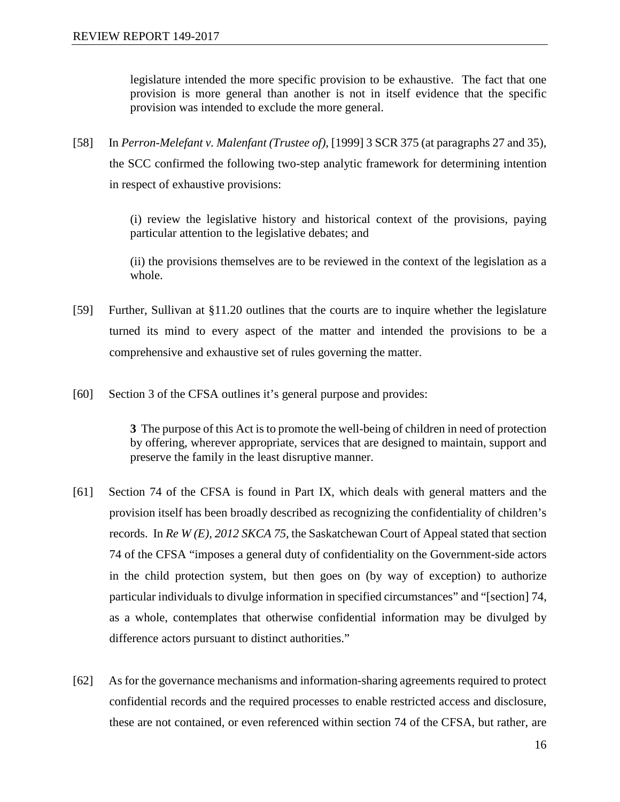legislature intended the more specific provision to be exhaustive. The fact that one provision is more general than another is not in itself evidence that the specific provision was intended to exclude the more general.

[58] In *Perron-Melefant v. Malenfant (Trustee of)*, [1999] 3 SCR 375 (at paragraphs 27 and 35), the SCC confirmed the following two-step analytic framework for determining intention in respect of exhaustive provisions:

> (i) review the legislative history and historical context of the provisions, paying particular attention to the legislative debates; and

> (ii) the provisions themselves are to be reviewed in the context of the legislation as a whole.

- [59] Further, Sullivan at §11.20 outlines that the courts are to inquire whether the legislature turned its mind to every aspect of the matter and intended the provisions to be a comprehensive and exhaustive set of rules governing the matter.
- [60] Section 3 of the CFSA outlines it's general purpose and provides:

**3** The purpose of this Act is to promote the well-being of children in need of protection by offering, wherever appropriate, services that are designed to maintain, support and preserve the family in the least disruptive manner.

- [61] Section 74 of the CFSA is found in Part IX, which deals with general matters and the provision itself has been broadly described as recognizing the confidentiality of children's records. In *Re W (E), 2012 SKCA 75,* the Saskatchewan Court of Appeal stated that section 74 of the CFSA "imposes a general duty of confidentiality on the Government-side actors in the child protection system, but then goes on (by way of exception) to authorize particular individuals to divulge information in specified circumstances" and "[section] 74, as a whole, contemplates that otherwise confidential information may be divulged by difference actors pursuant to distinct authorities."
- [62] As for the governance mechanisms and information-sharing agreements required to protect confidential records and the required processes to enable restricted access and disclosure, these are not contained, or even referenced within section 74 of the CFSA, but rather, are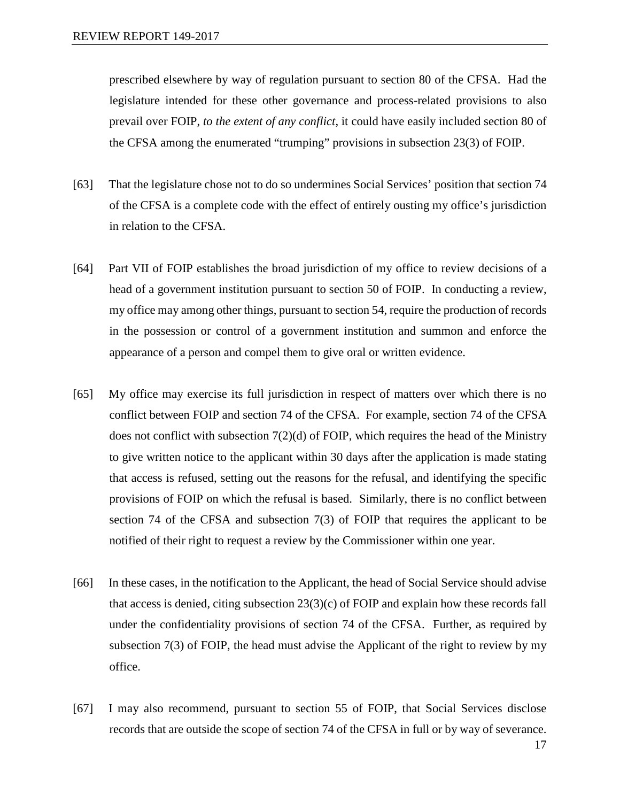prescribed elsewhere by way of regulation pursuant to section 80 of the CFSA. Had the legislature intended for these other governance and process-related provisions to also prevail over FOIP, *to the extent of any conflict*, it could have easily included section 80 of the CFSA among the enumerated "trumping" provisions in subsection 23(3) of FOIP.

- [63] That the legislature chose not to do so undermines Social Services' position that section 74 of the CFSA is a complete code with the effect of entirely ousting my office's jurisdiction in relation to the CFSA.
- [64] Part VII of FOIP establishes the broad jurisdiction of my office to review decisions of a head of a government institution pursuant to section 50 of FOIP. In conducting a review, my office may among other things, pursuant to section 54, require the production of records in the possession or control of a government institution and summon and enforce the appearance of a person and compel them to give oral or written evidence.
- [65] My office may exercise its full jurisdiction in respect of matters over which there is no conflict between FOIP and section 74 of the CFSA. For example, section 74 of the CFSA does not conflict with subsection 7(2)(d) of FOIP, which requires the head of the Ministry to give written notice to the applicant within 30 days after the application is made stating that access is refused, setting out the reasons for the refusal, and identifying the specific provisions of FOIP on which the refusal is based. Similarly, there is no conflict between section 74 of the CFSA and subsection 7(3) of FOIP that requires the applicant to be notified of their right to request a review by the Commissioner within one year.
- [66] In these cases, in the notification to the Applicant, the head of Social Service should advise that access is denied, citing subsection  $23(3)(c)$  of FOIP and explain how these records fall under the confidentiality provisions of section 74 of the CFSA. Further, as required by subsection 7(3) of FOIP, the head must advise the Applicant of the right to review by my office.
- [67] I may also recommend, pursuant to section 55 of FOIP, that Social Services disclose records that are outside the scope of section 74 of the CFSA in full or by way of severance.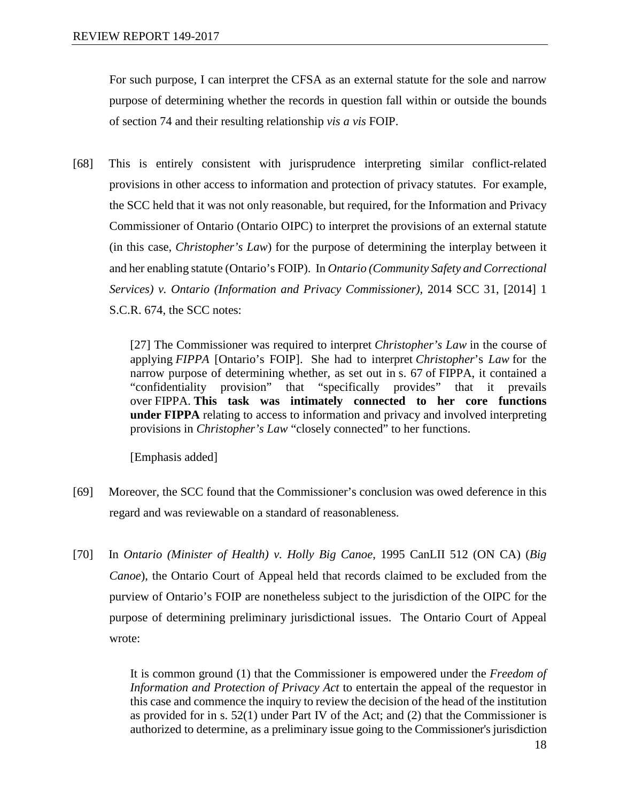For such purpose, I can interpret the CFSA as an external statute for the sole and narrow purpose of determining whether the records in question fall within or outside the bounds of section 74 and their resulting relationship *vis a vis* FOIP.

[68] This is entirely consistent with jurisprudence interpreting similar conflict-related provisions in other access to information and protection of privacy statutes. For example, the SCC held that it was not only reasonable, but required, for the Information and Privacy Commissioner of Ontario (Ontario OIPC) to interpret the provisions of an external statute (in this case, *Christopher's Law*) for the purpose of determining the interplay between it and her enabling statute (Ontario's FOIP). In *Ontario (Community Safety and Correctional Services) v. Ontario (Information and Privacy Commissioner),* 2014 SCC 31, [2014] 1 S.C.R. 674, the SCC notes:

> [27] The Commissioner was required to interpret *Christopher's Law* in the course of applying *FIPPA* [Ontario's FOIP]. She had to interpret *Christopher*'s *Law* for the narrow purpose of determining whether, as set out in s. 67 of FIPPA, it contained a "confidentiality provision" that "specifically provides" that it prevails over FIPPA. **This task was intimately connected to her core functions under FIPPA** relating to access to information and privacy and involved interpreting provisions in *Christopher's Law* "closely connected" to her functions.

[Emphasis added]

- [69] Moreover, the SCC found that the Commissioner's conclusion was owed deference in this regard and was reviewable on a standard of reasonableness.
- [70] In *Ontario (Minister of Health) v. Holly Big Canoe*, 1995 CanLII 512 (ON CA) (*Big Canoe*), the Ontario Court of Appeal held that records claimed to be excluded from the purview of Ontario's FOIP are nonetheless subject to the jurisdiction of the OIPC for the purpose of determining preliminary jurisdictional issues. The Ontario Court of Appeal wrote:

It is common ground (1) that the Commissioner is empowered under the *Freedom of Information and Protection of Privacy Act* to entertain the appeal of the requestor in this case and commence the inquiry to review the decision of the head of the institution as provided for in s. 52(1) under Part IV of the Act; and (2) that the Commissioner is authorized to determine, as a preliminary issue going to the Commissioner's jurisdiction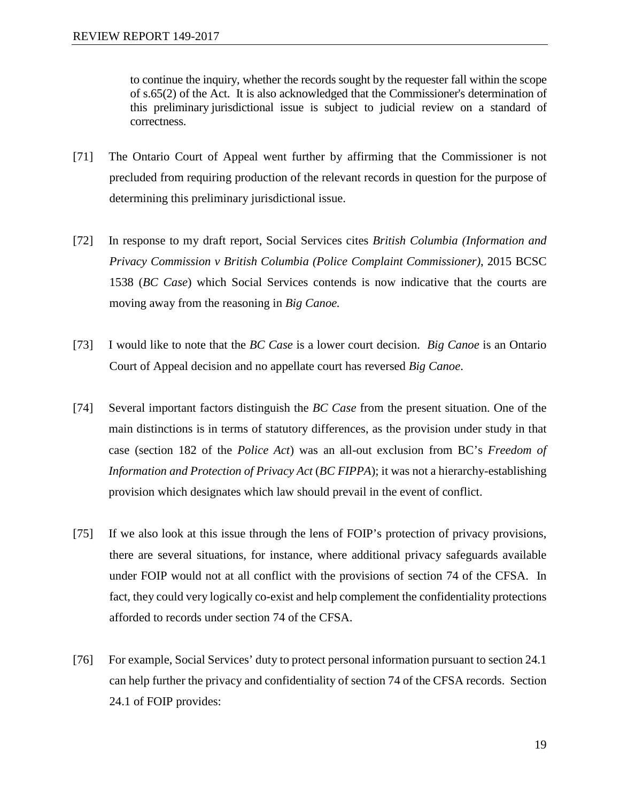to continue the inquiry, whether the records sought by the requester fall within the scope of s.65(2) of the Act. It is also acknowledged that the Commissioner's determination of this preliminary jurisdictional issue is subject to judicial review on a standard of correctness.

- [71] The Ontario Court of Appeal went further by affirming that the Commissioner is not precluded from requiring production of the relevant records in question for the purpose of determining this preliminary jurisdictional issue.
- [72] In response to my draft report, Social Services cites *British Columbia (Information and Privacy Commission v British Columbia (Police Complaint Commissioner)*, 2015 BCSC 1538 (*BC Case*) which Social Services contends is now indicative that the courts are moving away from the reasoning in *Big Canoe.*
- [73] I would like to note that the *BC Case* is a lower court decision. *Big Canoe* is an Ontario Court of Appeal decision and no appellate court has reversed *Big Canoe*.
- [74] Several important factors distinguish the *BC Case* from the present situation. One of the main distinctions is in terms of statutory differences, as the provision under study in that case (section 182 of the *Police Act*) was an all-out exclusion from BC's *Freedom of Information and Protection of Privacy Act* (*BC FIPPA*); it was not a hierarchy-establishing provision which designates which law should prevail in the event of conflict.
- [75] If we also look at this issue through the lens of FOIP's protection of privacy provisions, there are several situations, for instance, where additional privacy safeguards available under FOIP would not at all conflict with the provisions of section 74 of the CFSA. In fact, they could very logically co-exist and help complement the confidentiality protections afforded to records under section 74 of the CFSA.
- [76] For example, Social Services' duty to protect personal information pursuant to section 24.1 can help further the privacy and confidentiality of section 74 of the CFSA records. Section 24.1 of FOIP provides: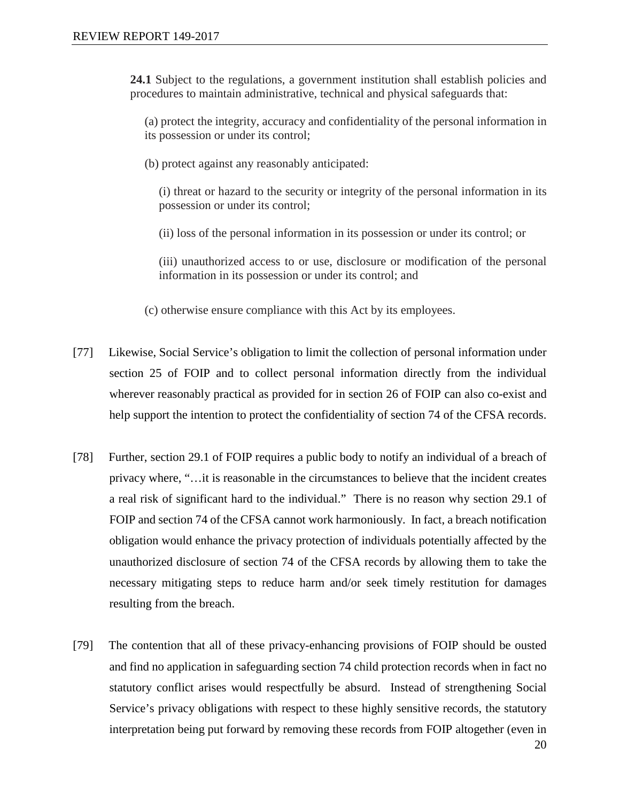**24.1** Subject to the regulations, a government institution shall establish policies and procedures to maintain administrative, technical and physical safeguards that:

(a) protect the integrity, accuracy and confidentiality of the personal information in its possession or under its control;

(b) protect against any reasonably anticipated:

(i) threat or hazard to the security or integrity of the personal information in its possession or under its control;

(ii) loss of the personal information in its possession or under its control; or

(iii) unauthorized access to or use, disclosure or modification of the personal information in its possession or under its control; and

(c) otherwise ensure compliance with this Act by its employees.

- [77] Likewise, Social Service's obligation to limit the collection of personal information under section 25 of FOIP and to collect personal information directly from the individual wherever reasonably practical as provided for in section 26 of FOIP can also co-exist and help support the intention to protect the confidentiality of section 74 of the CFSA records.
- [78] Further, section 29.1 of FOIP requires a public body to notify an individual of a breach of privacy where, "…it is reasonable in the circumstances to believe that the incident creates a real risk of significant hard to the individual." There is no reason why section 29.1 of FOIP and section 74 of the CFSA cannot work harmoniously. In fact, a breach notification obligation would enhance the privacy protection of individuals potentially affected by the unauthorized disclosure of section 74 of the CFSA records by allowing them to take the necessary mitigating steps to reduce harm and/or seek timely restitution for damages resulting from the breach.
- [79] The contention that all of these privacy-enhancing provisions of FOIP should be ousted and find no application in safeguarding section 74 child protection records when in fact no statutory conflict arises would respectfully be absurd. Instead of strengthening Social Service's privacy obligations with respect to these highly sensitive records, the statutory interpretation being put forward by removing these records from FOIP altogether (even in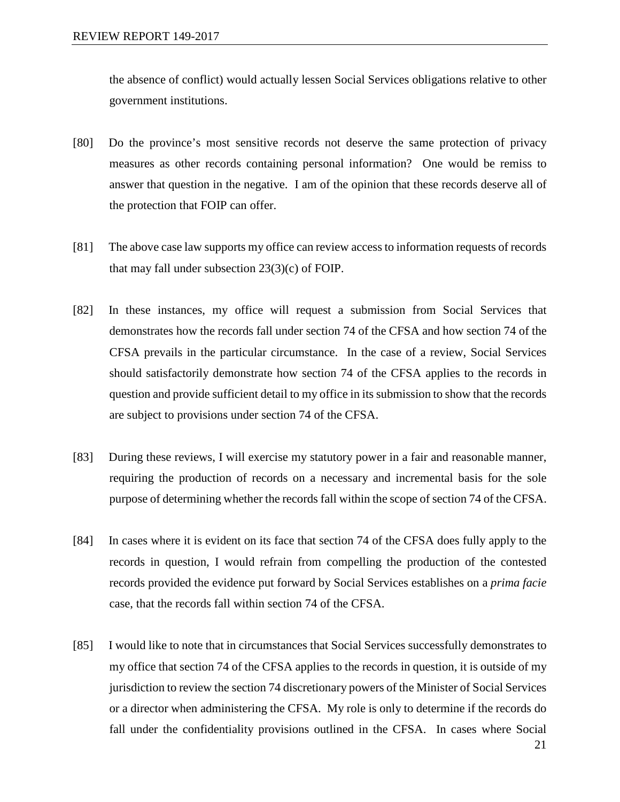the absence of conflict) would actually lessen Social Services obligations relative to other government institutions.

- [80] Do the province's most sensitive records not deserve the same protection of privacy measures as other records containing personal information? One would be remiss to answer that question in the negative. I am of the opinion that these records deserve all of the protection that FOIP can offer.
- [81] The above case law supports my office can review access to information requests of records that may fall under subsection 23(3)(c) of FOIP.
- [82] In these instances, my office will request a submission from Social Services that demonstrates how the records fall under section 74 of the CFSA and how section 74 of the CFSA prevails in the particular circumstance. In the case of a review, Social Services should satisfactorily demonstrate how section 74 of the CFSA applies to the records in question and provide sufficient detail to my office in its submission to show that the records are subject to provisions under section 74 of the CFSA.
- [83] During these reviews, I will exercise my statutory power in a fair and reasonable manner, requiring the production of records on a necessary and incremental basis for the sole purpose of determining whether the records fall within the scope of section 74 of the CFSA.
- [84] In cases where it is evident on its face that section 74 of the CFSA does fully apply to the records in question, I would refrain from compelling the production of the contested records provided the evidence put forward by Social Services establishes on a *prima facie*  case, that the records fall within section 74 of the CFSA.
- [85] I would like to note that in circumstances that Social Services successfully demonstrates to my office that section 74 of the CFSA applies to the records in question, it is outside of my jurisdiction to review the section 74 discretionary powers of the Minister of Social Services or a director when administering the CFSA. My role is only to determine if the records do fall under the confidentiality provisions outlined in the CFSA. In cases where Social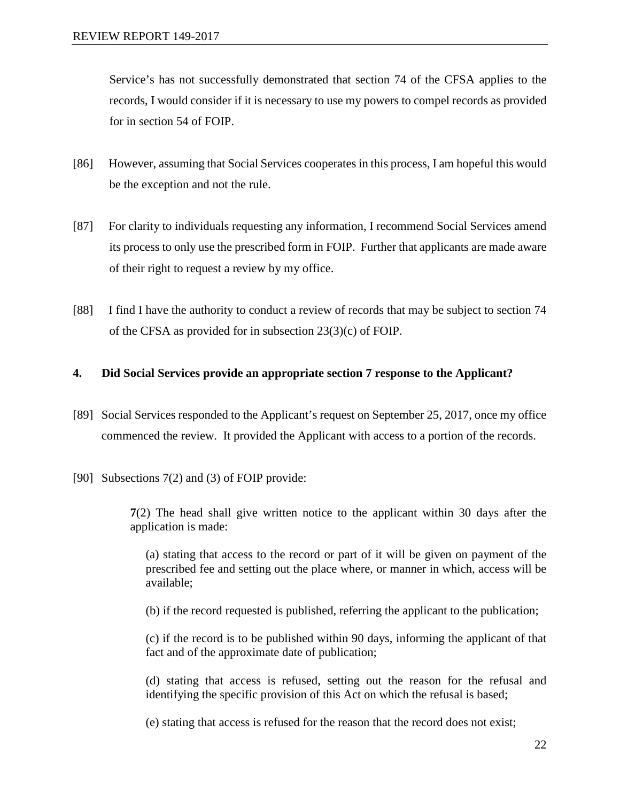Service's has not successfully demonstrated that section 74 of the CFSA applies to the records, I would consider if it is necessary to use my powers to compel records as provided for in section 54 of FOIP.

- [86] However, assuming that Social Services cooperates in this process, I am hopeful this would be the exception and not the rule.
- [87] For clarity to individuals requesting any information, I recommend Social Services amend its process to only use the prescribed form in FOIP. Further that applicants are made aware of their right to request a review by my office.
- [88] I find I have the authority to conduct a review of records that may be subject to section 74 of the CFSA as provided for in subsection 23(3)(c) of FOIP.

## **4. Did Social Services provide an appropriate section 7 response to the Applicant?**

- [89] Social Services responded to the Applicant's request on September 25, 2017, once my office commenced the review. It provided the Applicant with access to a portion of the records.
- [90] Subsections 7(2) and (3) of FOIP provide:

**7**(2) The head shall give written notice to the applicant within 30 days after the application is made:

(a) stating that access to the record or part of it will be given on payment of the prescribed fee and setting out the place where, or manner in which, access will be available;

(b) if the record requested is published, referring the applicant to the publication;

(c) if the record is to be published within 90 days, informing the applicant of that fact and of the approximate date of publication;

(d) stating that access is refused, setting out the reason for the refusal and identifying the specific provision of this Act on which the refusal is based;

(e) stating that access is refused for the reason that the record does not exist;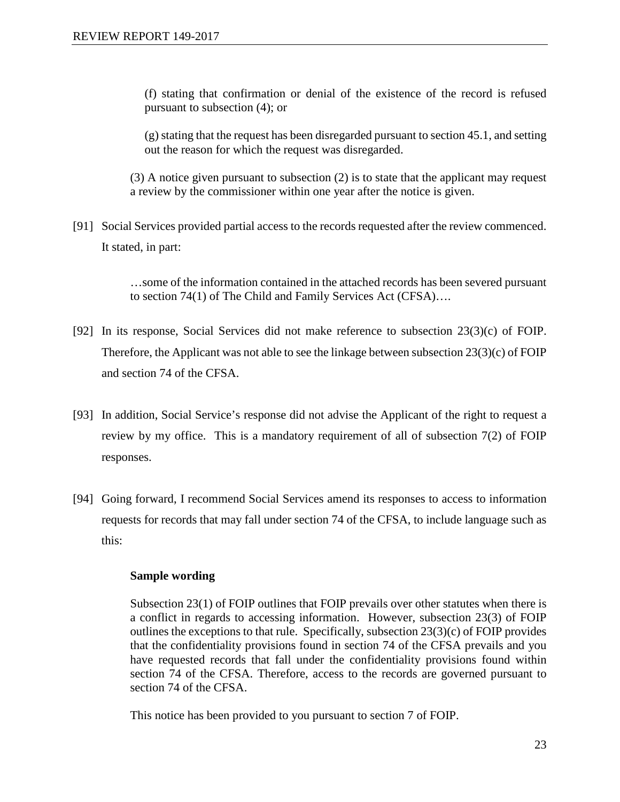(f) stating that confirmation or denial of the existence of the record is refused pursuant to subsection (4); or

(g) stating that the request has been disregarded pursuant to section 45.1, and setting out the reason for which the request was disregarded.

(3) A notice given pursuant to subsection (2) is to state that the applicant may request a review by the commissioner within one year after the notice is given.

[91] Social Services provided partial access to the records requested after the review commenced. It stated, in part:

> …some of the information contained in the attached records has been severed pursuant to section 74(1) of The Child and Family Services Act (CFSA)….

- [92] In its response, Social Services did not make reference to subsection 23(3)(c) of FOIP. Therefore, the Applicant was not able to see the linkage between subsection 23(3)(c) of FOIP and section 74 of the CFSA.
- [93] In addition, Social Service's response did not advise the Applicant of the right to request a review by my office. This is a mandatory requirement of all of subsection 7(2) of FOIP responses.
- [94] Going forward, I recommend Social Services amend its responses to access to information requests for records that may fall under section 74 of the CFSA, to include language such as this:

#### **Sample wording**

Subsection 23(1) of FOIP outlines that FOIP prevails over other statutes when there is a conflict in regards to accessing information. However, subsection 23(3) of FOIP outlines the exceptions to that rule. Specifically, subsection 23(3)(c) of FOIP provides that the confidentiality provisions found in section 74 of the CFSA prevails and you have requested records that fall under the confidentiality provisions found within section 74 of the CFSA. Therefore, access to the records are governed pursuant to section 74 of the CFSA.

This notice has been provided to you pursuant to section 7 of FOIP.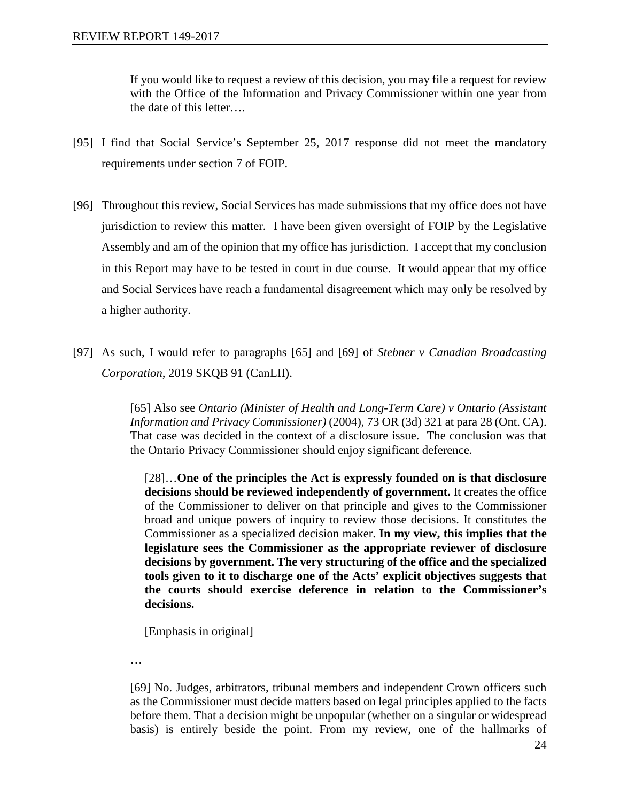If you would like to request a review of this decision, you may file a request for review with the Office of the Information and Privacy Commissioner within one year from the date of this letter….

- [95] I find that Social Service's September 25, 2017 response did not meet the mandatory requirements under section 7 of FOIP.
- [96] Throughout this review, Social Services has made submissions that my office does not have jurisdiction to review this matter. I have been given oversight of FOIP by the Legislative Assembly and am of the opinion that my office has jurisdiction. I accept that my conclusion in this Report may have to be tested in court in due course. It would appear that my office and Social Services have reach a fundamental disagreement which may only be resolved by a higher authority.
- [97] As such, I would refer to paragraphs [65] and [69] of *Stebner v Canadian Broadcasting Corporation*, 2019 SKQB 91 (CanLII).

[65] Also see *Ontario (Minister of Health and Long-Term Care) v Ontario (Assistant Information and Privacy Commissioner)* (2004), 73 OR (3d) 321 at para 28 (Ont. CA). That case was decided in the context of a disclosure issue. The conclusion was that the Ontario Privacy Commissioner should enjoy significant deference.

[28]…**One of the principles the Act is expressly founded on is that disclosure decisions should be reviewed independently of government.** It creates the office of the Commissioner to deliver on that principle and gives to the Commissioner broad and unique powers of inquiry to review those decisions. It constitutes the Commissioner as a specialized decision maker. **In my view, this implies that the legislature sees the Commissioner as the appropriate reviewer of disclosure decisions by government. The very structuring of the office and the specialized tools given to it to discharge one of the Acts' explicit objectives suggests that the courts should exercise deference in relation to the Commissioner's decisions.** 

[Emphasis in original]

…

[69] No. Judges, arbitrators, tribunal members and independent Crown officers such as the Commissioner must decide matters based on legal principles applied to the facts before them. That a decision might be unpopular (whether on a singular or widespread basis) is entirely beside the point. From my review, one of the hallmarks of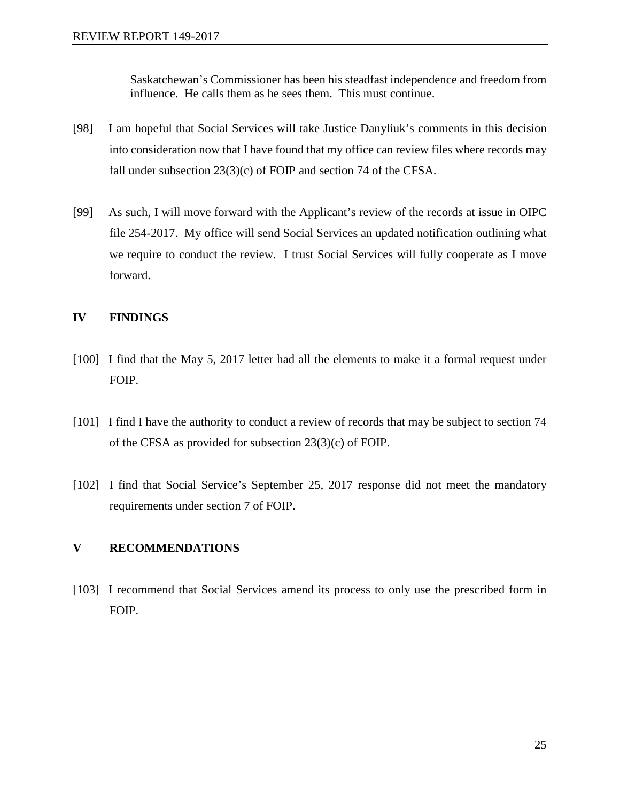Saskatchewan's Commissioner has been his steadfast independence and freedom from influence. He calls them as he sees them. This must continue.

- [98] I am hopeful that Social Services will take Justice Danyliuk's comments in this decision into consideration now that I have found that my office can review files where records may fall under subsection 23(3)(c) of FOIP and section 74 of the CFSA.
- [99] As such, I will move forward with the Applicant's review of the records at issue in OIPC file 254-2017. My office will send Social Services an updated notification outlining what we require to conduct the review. I trust Social Services will fully cooperate as I move forward.

## **IV FINDINGS**

- [100] I find that the May 5, 2017 letter had all the elements to make it a formal request under FOIP.
- [101] I find I have the authority to conduct a review of records that may be subject to section 74 of the CFSA as provided for subsection 23(3)(c) of FOIP.
- [102] I find that Social Service's September 25, 2017 response did not meet the mandatory requirements under section 7 of FOIP.

## **V RECOMMENDATIONS**

[103] I recommend that Social Services amend its process to only use the prescribed form in FOIP.